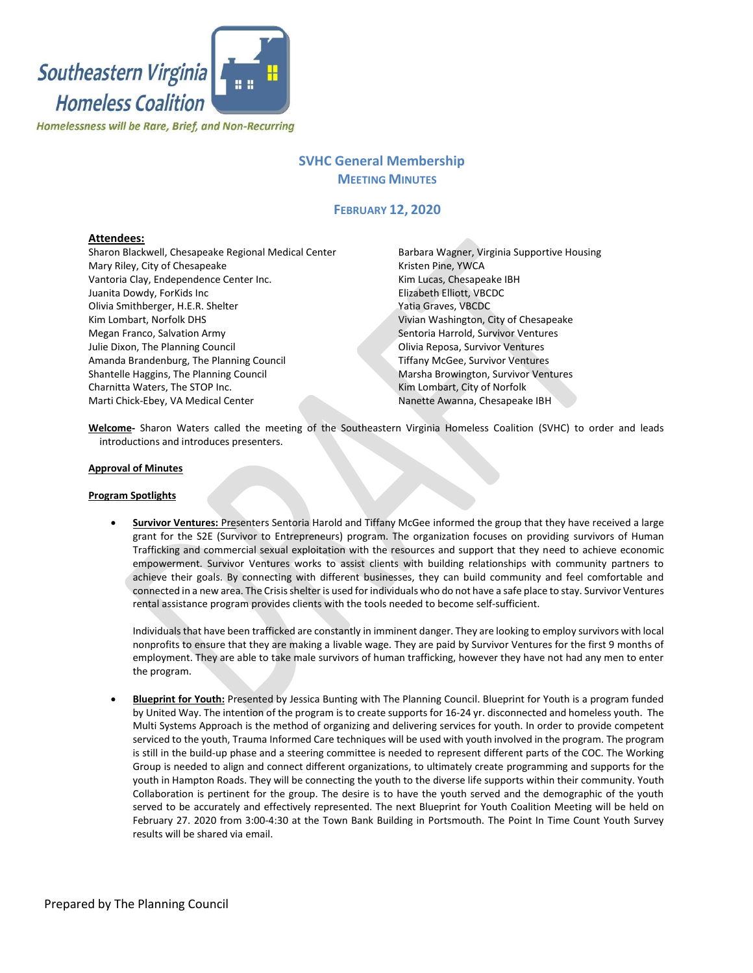

# **SVHC General Membership MEETING MINUTES**

# **FEBRUARY 12, 2020**

## **Attendees:**

Sharon Blackwell, Chesapeake Regional Medical Center Mary Riley, City of Chesapeake Vantoria Clay, Endependence Center Inc. Juanita Dowdy, ForKids Inc Olivia Smithberger, H.E.R. Shelter Kim Lombart, Norfolk DHS Megan Franco, Salvation Army Julie Dixon, The Planning Council Amanda Brandenburg, The Planning Council Shantelle Haggins, The Planning Council Charnitta Waters, The STOP Inc. Marti Chick-Ebey, VA Medical Center

Barbara Wagner, Virginia Supportive Housing Kristen Pine, YWCA Kim Lucas, Chesapeake IBH Elizabeth Elliott, VBCDC Yatia Graves, VBCDC Vivian Washington, City of Chesapeake Sentoria Harrold, Survivor Ventures Olivia Reposa, Survivor Ventures Tiffany McGee, Survivor Ventures Marsha Browington, Survivor Ventures Kim Lombart, City of Norfolk Nanette Awanna, Chesapeake IBH

**Welcome-** Sharon Waters called the meeting of the Southeastern Virginia Homeless Coalition (SVHC) to order and leads introductions and introduces presenters.

#### **Approval of Minutes**

#### **Program Spotlights**

• **Survivor Ventures:** Presenters Sentoria Harold and Tiffany McGee informed the group that they have received a large grant for the S2E (Survivor to Entrepreneurs) program. The organization focuses on providing survivors of Human Trafficking and commercial sexual exploitation with the resources and support that they need to achieve economic empowerment. Survivor Ventures works to assist clients with building relationships with community partners to achieve their goals. By connecting with different businesses, they can build community and feel comfortable and connected in a new area. The Crisis shelter is used forindividuals who do not have a safe place to stay. Survivor Ventures rental assistance program provides clients with the tools needed to become self-sufficient.

Individuals that have been trafficked are constantly in imminent danger. They are looking to employ survivors with local nonprofits to ensure that they are making a livable wage. They are paid by Survivor Ventures for the first 9 months of employment. They are able to take male survivors of human trafficking, however they have not had any men to enter the program.

• **Blueprint for Youth:** Presented by Jessica Bunting with The Planning Council. Blueprint for Youth is a program funded by United Way. The intention of the program is to create supports for 16-24 yr. disconnected and homeless youth. The Multi Systems Approach is the method of organizing and delivering services for youth. In order to provide competent serviced to the youth, Trauma Informed Care techniques will be used with youth involved in the program. The program is still in the build-up phase and a steering committee is needed to represent different parts of the COC. The Working Group is needed to align and connect different organizations, to ultimately create programming and supports for the youth in Hampton Roads. They will be connecting the youth to the diverse life supports within their community. Youth Collaboration is pertinent for the group. The desire is to have the youth served and the demographic of the youth served to be accurately and effectively represented. The next Blueprint for Youth Coalition Meeting will be held on February 27. 2020 from 3:00-4:30 at the Town Bank Building in Portsmouth. The Point In Time Count Youth Survey results will be shared via email.